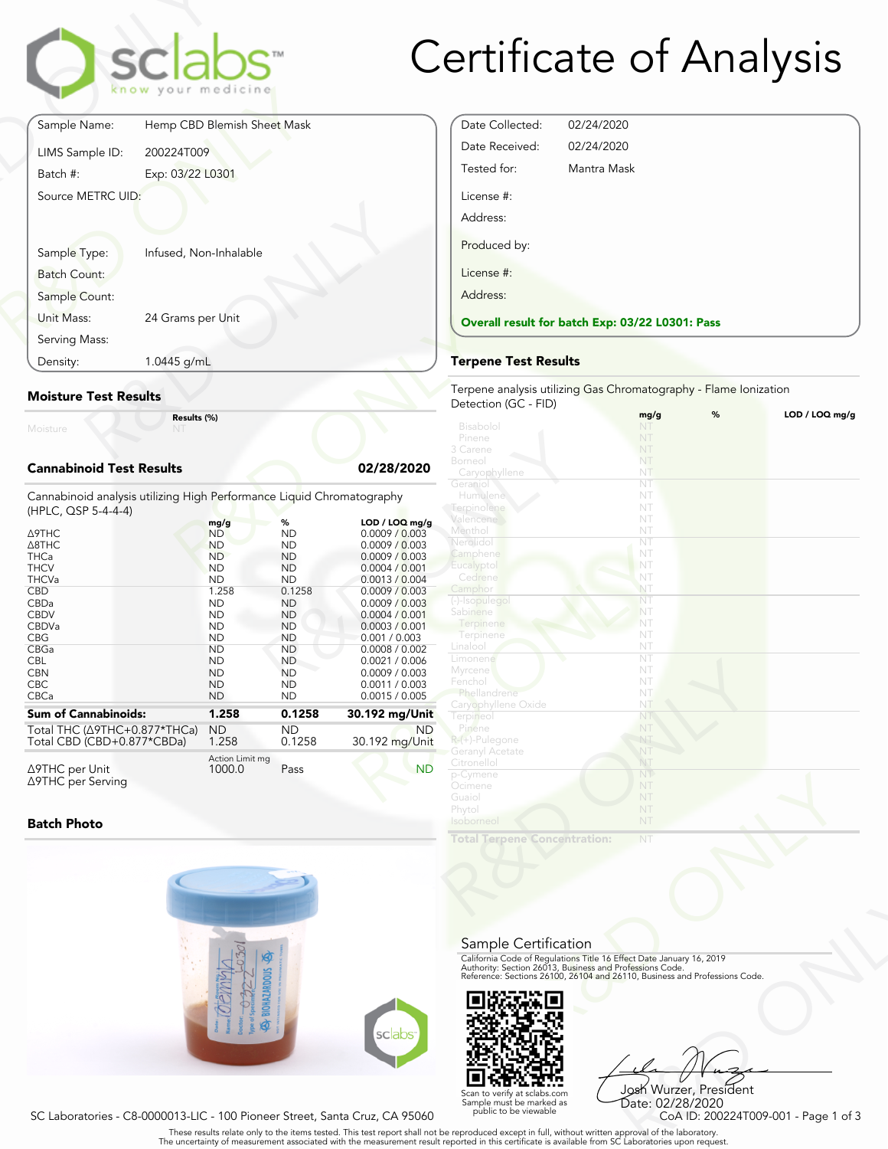

# Certificate of Analysis

Overall result for batch Exp: 03/22 L0301: Pass

Terpene analysis utilizing Gas Chromatography - Flame Ionization

mg/g % LOD / LOQ mg/g

Date Collected: 02/24/2020 Date Received: 02/24/2020 Tested for: Mantra Mask

License #: Address:

Produced by:

Phytol

License #: Address:

|                                                                           | sclabs <sup>®</sup><br>know your medicine |  |
|---------------------------------------------------------------------------|-------------------------------------------|--|
| Sample Name:                                                              | Hemp CBD Blemish Sheet Mask               |  |
| LIMS Sample ID:                                                           | 200224T009                                |  |
| Batch #:                                                                  | Exp: 03/22 L0301                          |  |
| Source METRC UID:<br>Sample Type:<br><b>Batch Count:</b><br>Sample Count: | Infused, Non-Inhalable                    |  |
| Unit Mass:<br>Serving Mass:                                               | 24 Grams per Unit                         |  |
| Density:                                                                  | 1.0445 g/mL                               |  |
| <b>Moisture Test Results</b>                                              |                                           |  |
| Moisture                                                                  | Results (%)<br>NT                         |  |

#### Moisture Test Results

#### Cannabinoid Test Results 02/28/2020

| Unit Mass:                                                                                   | 24 Grams per Unit |           |                  | Overall result for batch Exp: 03/22 L    |                 |
|----------------------------------------------------------------------------------------------|-------------------|-----------|------------------|------------------------------------------|-----------------|
| Serving Mass:                                                                                |                   |           |                  |                                          |                 |
| Density:                                                                                     | 1.0445 g/mL       |           |                  | <b>Terpene Test Results</b>              |                 |
| <b>Moisture Test Results</b>                                                                 |                   |           |                  | Terpene analysis utilizing Gas Chromatog |                 |
|                                                                                              |                   |           |                  | Detection (GC - FID)                     | mg/g            |
| Moisture                                                                                     | Results (%)       |           |                  | Bisabolol<br>Pinene<br>3 Carene          | NT<br>NT.<br>NT |
| <b>Cannabinoid Test Results</b>                                                              |                   |           | 02/28/2020       | Borneol<br>Caryophyllene                 | NT<br>NT        |
| Cannabinoid analysis utilizing High Performance Liquid Chromatography<br>(HPLC, QSP 5-4-4-4) |                   |           |                  | Geraniol<br>Humulene.<br>Terpinolene     | NT<br>NT<br>NT  |
|                                                                                              | mg/g              | %         | $LOD / LOQ$ mg/g | Valencene                                | NT              |
| Δ9THC                                                                                        | <b>ND</b>         | <b>ND</b> | 0.0009 / 0.003   | Menthol                                  | NT              |
| $\triangle$ 8THC                                                                             | <b>ND</b>         | <b>ND</b> | 0.0009 / 0.003   | Nerolidol                                | NT              |
| <b>THCa</b>                                                                                  | <b>ND</b>         | <b>ND</b> | 0.0009 / 0.003   | Camphene                                 | NT              |
| <b>THCV</b>                                                                                  | <b>ND</b>         | <b>ND</b> | 0.0004 / 0.001   | Eucalyptol                               | NT              |
| <b>THCVa</b>                                                                                 | <b>ND</b>         | <b>ND</b> | 0.0013 / 0.004   | Cedrene                                  | NT              |
| <b>CBD</b>                                                                                   | 1.258             | 0.1258    | 0.0009 / 0.003   | Camphor                                  | NT              |
| CBDa                                                                                         | <b>ND</b>         | <b>ND</b> | 0.0009 / 0.003   | (-)-Isopulegol                           | NT              |
| <b>CBDV</b>                                                                                  | <b>ND</b>         | <b>ND</b> | 0.0004 / 0.001   | Sabinene                                 | NT              |
| CBDVa                                                                                        | <b>ND</b>         | <b>ND</b> | 0.0003 / 0.001   | Terpinene                                | NT              |
| <b>CBG</b>                                                                                   | <b>ND</b>         | <b>ND</b> | 0.001 / 0.003    | Terpinene                                | NT              |
| CBGa                                                                                         | <b>ND</b>         | <b>ND</b> | 0.0008 / 0.002   | Linalool                                 | NT              |
| <b>CBL</b>                                                                                   | <b>ND</b>         | <b>ND</b> | 0.0021 / 0.006   | Limonene                                 | NT              |
| <b>CBN</b>                                                                                   | <b>ND</b>         | <b>ND</b> | 0.0009 / 0.003   | Myrcene                                  | NT              |
| <b>CBC</b>                                                                                   | <b>ND</b>         | <b>ND</b> | 0.0011 / 0.003   | Fenchol                                  | NT              |
| CBCa                                                                                         | <b>ND</b>         | <b>ND</b> | 0.0015 / 0.005   | Phellandrene                             | NT              |
|                                                                                              |                   |           |                  | Caryophyllene Oxide                      | NT              |
| <b>Sum of Cannabinoids:</b>                                                                  | 1.258             | 0.1258    | 30.192 mg/Unit   | Terpineol                                | NT              |
| Total THC (Δ9THC+0.877*THCa)                                                                 | <b>ND</b>         | <b>ND</b> | ND.              | Pinene                                   | NT              |
| Total CBD (CBD+0.877*CBDa)                                                                   | 1.258             | 0.1258    | 30.192 mg/Unit   | $R-(+)$ -Pulegone                        | NT              |
|                                                                                              | Action Limit mg   |           |                  | Geranyl Acetate                          | NT              |
| ∆9THC per Unit                                                                               | 1000.0            | Pass      | <b>ND</b>        | Citronellol                              | NT              |
| ∆9THC per Serving                                                                            |                   |           |                  | p-Cymene                                 | NT              |
|                                                                                              |                   |           |                  | Ocimene                                  | NT              |
|                                                                                              |                   |           |                  | Guaiol                                   | NT              |

#### Batch Photo



SC Laboratories - C8-0000013-LIC - 100 Pioneer Street, Santa Cruz, CA 95060

Scan to verify at sclabs.com Sample must be marked as public to be viewable

Sample Certification

NOT Concentration:<br>
NOT NAT<br>
NOT NAT<br>
INTERGULARISM ON THE REGISTER OF A SURFAINT REGISTER OF A SURFAINT REGISTER OF A SURFAINT REGISTER OF A SURFAINT REGISTER OF A SURFAINT REGISTER OF A SURFAINT REGISTER OF A SURFAINT RE

California Code of Regulations Title 16 Effect Date January 16, 2019<br>Authority: Section 26013, Business and Professions Code.<br>Reference: Sections 26100, 26104 and 26110, Business and Professions Code.

Frect Date January 16, 2019<br>
Trofessions Code.<br>
110, Business and Professions Code.<br>
110, Business and Professions Code.<br>
103<br>
103<br>
103<br>
2022 - COA ID: 200224T009-001 - Page 1 of 3<br>
103<br>
21 Laboratories upon request. Josh Wurzer, President Date: 02/28/2020

|  | These results relate only to the items tested. This test report shall not be reproduced except in full, without written approval of the laboratory. |  |  |  |
|--|-----------------------------------------------------------------------------------------------------------------------------------------------------|--|--|--|
|  | The uncertainty of measurement associated with the measurement result reported in this certificate is available from SC Laboratories upon request.  |  |  |  |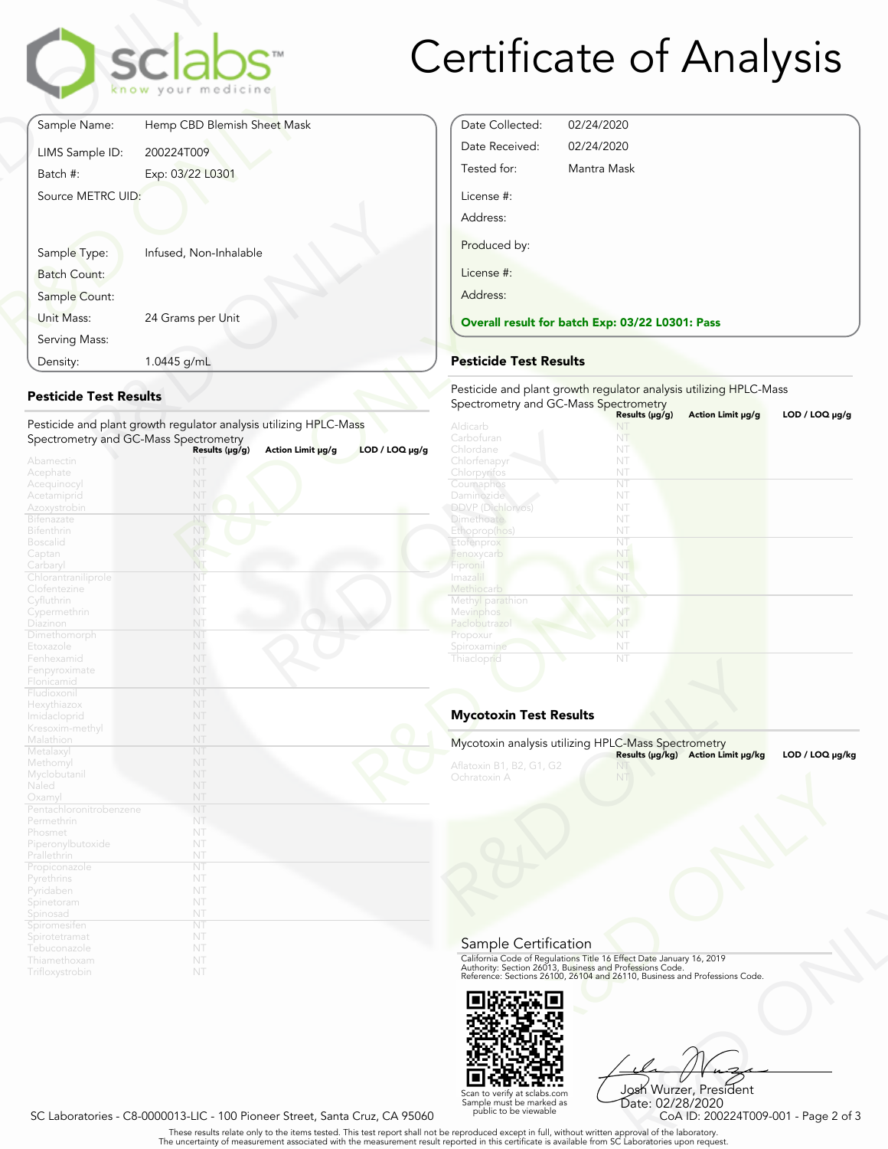

# Certificate of Analysis

|                                                                           | sclabs <sup>.</sup><br>know your medicine |
|---------------------------------------------------------------------------|-------------------------------------------|
| Sample Name:                                                              | Hemp CBD Blemish Sheet Mask               |
| LIMS Sample ID:                                                           | 200224T009                                |
| Batch #:                                                                  | Exp: 03/22 L0301                          |
| Source METRC UID:<br>Sample Type:<br><b>Batch Count:</b><br>Sample Count: | Infused, Non-Inhalable                    |
| Unit Mass:<br>Serving Mass:                                               | 24 Grams per Unit                         |
|                                                                           | 1.0445 g/mL                               |

### Pesticide Test Results

| Unit Mass:                      | 24 Grams per Unit                                                 | <b>Overall result for bat</b>                                |
|---------------------------------|-------------------------------------------------------------------|--------------------------------------------------------------|
| Serving Mass:                   |                                                                   |                                                              |
| Density:                        | 1.0445 g/mL                                                       | <b>Pesticide Test Resul</b>                                  |
| <b>Pesticide Test Results</b>   |                                                                   | Pesticide and plant grov                                     |
|                                 |                                                                   | Spectrometry and GC-M                                        |
|                                 | Pesticide and plant growth regulator analysis utilizing HPLC-Mass | Aldicarb                                                     |
|                                 | Spectrometry and GC-Mass Spectrometry                             | Carbofuran                                                   |
|                                 | Action Limit µg/g<br>Results (µg/g)                               | Chlordane<br>LOD / LOQ µg/g                                  |
| Abamectin                       | NT                                                                | Chlorfenapyr                                                 |
| Acephate                        | NT                                                                | Chlorpyrifos                                                 |
| Acequinocyl                     | NT                                                                | Coumaphos                                                    |
| Acetamiprid<br>Azoxystrobin     | NT<br>NT                                                          | Daminozide<br><b>DDVP (Dichlorvos)</b>                       |
| <b>Bifenazate</b>               | NT                                                                | Dimethoate                                                   |
| <b>Bifenthrin</b>               | NT                                                                | Ethoprop(hos)                                                |
| <b>Boscalid</b>                 | NT                                                                | Etofenprox                                                   |
| Captan                          | NT                                                                | Fenoxycarb                                                   |
| Carbaryl                        | NT                                                                | Fipronil                                                     |
| Chlorantraniliprole             | NT                                                                | Imazalil                                                     |
| Clofentezine                    | NT                                                                | Methiocarb                                                   |
| Cyfluthrin                      | NT                                                                | Methyl parathion                                             |
| Cypermethrin                    | NT                                                                | Mevinphos                                                    |
| Diazinon                        | NT                                                                | Paclobutrazo                                                 |
| Dimethomorph                    | NT                                                                | Propoxur                                                     |
| Etoxazole                       | NT                                                                | Spiroxamine                                                  |
| Fenhexamid                      | NT                                                                | Thiacloprid                                                  |
| Fenpyroximate                   | NT                                                                |                                                              |
| Flonicamid                      | NT                                                                |                                                              |
| Fludioxonil                     | NT<br>NT                                                          |                                                              |
| Hexythiazox                     | NT                                                                | Mycotoxin Test Res                                           |
| Imidacloprid<br>Kresoxim-methyl | NT                                                                |                                                              |
| Malathion                       | NT                                                                |                                                              |
| Metalaxyl                       | NT                                                                | Mycotoxin analysis utiliz                                    |
| Methomyl                        | NT                                                                | Aflatoxin B1, B2, G1, G2                                     |
| Myclobutanil                    | NT                                                                | Ochratoxin A                                                 |
| Naled                           | NT                                                                |                                                              |
| Oxamyl                          | NT                                                                |                                                              |
| Pentachloronitrobenzene         | NT                                                                |                                                              |
| Permethrin                      | NT                                                                |                                                              |
| Phosmet                         | NT                                                                |                                                              |
| Piperonylbutoxide               | NT                                                                |                                                              |
| Prallethrin                     | NT                                                                |                                                              |
| Propiconazole                   | NT                                                                |                                                              |
| Pyrethrins                      | NT                                                                |                                                              |
| Pyridaben                       | NT                                                                |                                                              |
| Spinetoram                      | NT<br>NT                                                          |                                                              |
| Spinosad                        | NT                                                                |                                                              |
| Spiromesiten<br>Spirotetramat   | NT                                                                |                                                              |
| Tebuconazole                    | NT                                                                | Sample Certificati                                           |
| Thiamethoxam                    | NT                                                                | California Code of Regulation                                |
| Trifloxystrobin                 | NT                                                                | Authority: Section 26013, Bus<br>Reference: Sections 26100 2 |

| Overall result for batch Exp: 03/22 L0301: Pass |
|-------------------------------------------------|
|                                                 |

#### Pesticide Test Results

Pesticide and plant growth regulator analysis utilizing HPLC-Mass Spectrometry and GC-Mass Spectrometry

|                |                                                                                                 | Results $(\mu g/g)$ | Action Limit µg/g                  | $LOD / LOQ \mu g/g$ |
|----------------|-------------------------------------------------------------------------------------------------|---------------------|------------------------------------|---------------------|
| <b>ass</b>     | Aldicarb                                                                                        | NT                  |                                    |                     |
|                | Carbofuran                                                                                      | NT                  |                                    |                     |
| LOD / LOQ µg/g | Chlordane                                                                                       | NT                  |                                    |                     |
|                | Chlorfenapyr                                                                                    | NT                  |                                    |                     |
|                | Chlorpyrifos                                                                                    | NT                  |                                    |                     |
|                | Coumaphos                                                                                       | NT                  |                                    |                     |
|                | Daminozide                                                                                      | NT                  |                                    |                     |
|                | <b>DDVP</b> (Dichlorvos)                                                                        | NT                  |                                    |                     |
|                | <b>Dimethoate</b>                                                                               | NT                  |                                    |                     |
|                | Ethoprop(hos)                                                                                   | NT                  |                                    |                     |
|                | Etofenprox                                                                                      | NT                  |                                    |                     |
|                | Fenoxycarb                                                                                      | NT                  |                                    |                     |
|                | Fipronil                                                                                        | NT                  |                                    |                     |
|                | Imazalil                                                                                        | NT                  |                                    |                     |
|                | Methiocarb                                                                                      | NT                  |                                    |                     |
|                | Methyl parathion                                                                                | NT                  |                                    |                     |
|                | Mevinphos                                                                                       | NĪ                  |                                    |                     |
|                | Paclobutrazol                                                                                   | NT                  |                                    |                     |
|                | Propoxur                                                                                        | NT                  |                                    |                     |
|                | Spiroxamine                                                                                     | NT                  |                                    |                     |
|                | Thiacloprid                                                                                     | NT                  |                                    |                     |
|                | <b>Mycotoxin Test Results</b>                                                                   |                     |                                    |                     |
|                | Mycotoxin analysis utilizing HPLC-Mass Spectrometry<br>Aflatoxin B1, B2, G1, G2<br>Ochratoxin A | NT                  | Results (µg/kg) Action Limit µg/kg | LOD / LOQ µg/kg     |
|                |                                                                                                 |                     |                                    |                     |

## Mycotoxin Test Results

| <b>Mycotoxin Test Results</b>                                                                                                            |
|------------------------------------------------------------------------------------------------------------------------------------------|
| Mycotoxin analysis utilizing HPLC-Mass Spectrometry<br>Results (µg/kg) Action Limit µg/kg<br>LOD / LOQ µg/kg<br>Aflatoxin B1, B2, G1, G2 |
| Ochratoxin A                                                                                                                             |
|                                                                                                                                          |
|                                                                                                                                          |

Sample Certification

Program Contraction<br>
Regulations Title 16 Effect Date January 16, 2019<br>
Regulations Title 16 Effect Date January 16, 2019<br>
The Scaling And 26110, Business and Professions Code. California Code of Regulations Title 16 Effect Date January 16, 2019<br>Authority: Section 26013, Business and Professions Code.<br>Reference: Sections 26100, 26104 and 26110, Business and Professions Code.



Frect Date January 16, 2019<br>
Trofessions Code.<br>
110, Business and Professions Code.<br>
110, Business and Professions Code.<br>
1036 Wurzer, President<br>
Date: 02/28/2020<br>
CoA ID: 200224T009-001 - Page 2 of 3<br>
pproval of the labor Josh Wurzer, President Date: 02/28/2020

SC Laboratories - C8-0000013-LIC - 100 Pioneer Street, Santa Cruz, CA 95060

. These results relate only to the items tested. This test report shall not be reproduced except in full, without written approval of the laboratory.<br>The uncertainty of measurement associated with the measurement result re